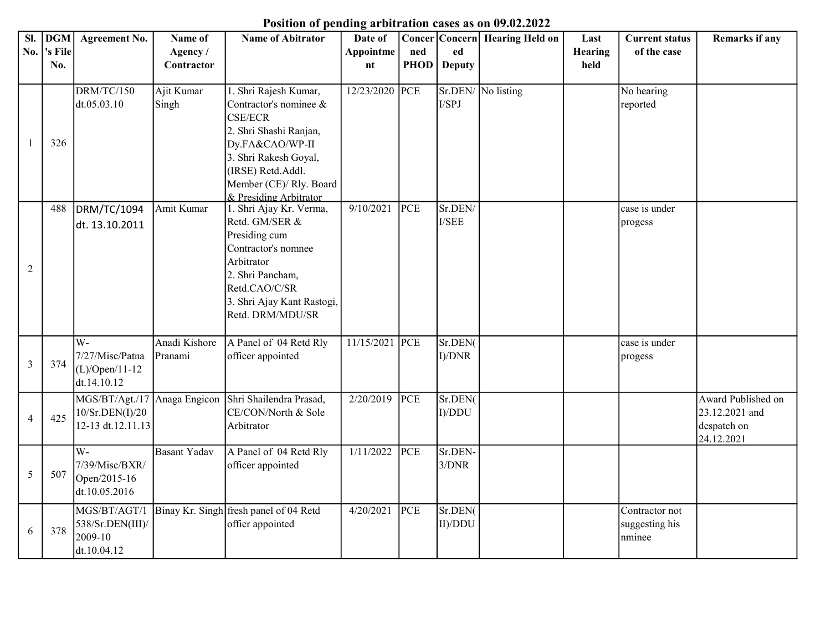## Position of pending arbitration cases as on 09.02.2022

| SI.            | <b>DGM</b> | <b>Agreement No.</b> | Name of             | <b>Name of Abitrator</b>                     | Date of        |             |                 | Concer   Concern   Hearing Held on | Last    | <b>Current status</b> | <b>Remarks if any</b> |
|----------------|------------|----------------------|---------------------|----------------------------------------------|----------------|-------------|-----------------|------------------------------------|---------|-----------------------|-----------------------|
| No.            | 's File    |                      | Agency/             |                                              | Appointme      | ned         | ed              |                                    | Hearing | of the case           |                       |
|                | No.        |                      | Contractor          |                                              | nt             | <b>PHOD</b> | <b>Deputy</b>   |                                    | held    |                       |                       |
|                |            | DRM/TC/150           | Ajit Kumar          | 1. Shri Rajesh Kumar,                        | 12/23/2020 PCE |             | I/SPJ           | Sr.DEN/ No listing                 |         | No hearing            |                       |
|                |            | dt.05.03.10          | Singh               | Contractor's nominee $\&$<br><b>CSE/ECR</b>  |                |             |                 |                                    |         | reported              |                       |
|                |            |                      |                     | 2. Shri Shashi Ranjan,                       |                |             |                 |                                    |         |                       |                       |
|                | 326        |                      |                     | Dy.FA&CAO/WP-II                              |                |             |                 |                                    |         |                       |                       |
|                |            |                      |                     | 3. Shri Rakesh Goyal,                        |                |             |                 |                                    |         |                       |                       |
|                |            |                      |                     | (IRSE) Retd.Addl.<br>Member (CE)/ Rly. Board |                |             |                 |                                    |         |                       |                       |
|                |            |                      |                     | & Presiding Arbitrator                       |                |             |                 |                                    |         |                       |                       |
|                | 488        | DRM/TC/1094          | Amit Kumar          | 1. Shri Ajay Kr. Verma,                      | 9/10/2021      | PCE         | Sr.DEN/         |                                    |         | case is under         |                       |
|                |            | dt. 13.10.2011       |                     | Retd. GM/SER &                               |                |             | I/SEE           |                                    |         | progess               |                       |
|                |            |                      |                     | Presiding cum                                |                |             |                 |                                    |         |                       |                       |
|                |            |                      |                     | Contractor's nomnee                          |                |             |                 |                                    |         |                       |                       |
| $\overline{2}$ |            |                      |                     | Arbitrator                                   |                |             |                 |                                    |         |                       |                       |
|                |            |                      |                     | 2. Shri Pancham,                             |                |             |                 |                                    |         |                       |                       |
|                |            |                      |                     | Retd.CAO/C/SR                                |                |             |                 |                                    |         |                       |                       |
|                |            |                      |                     | 3. Shri Ajay Kant Rastogi,                   |                |             |                 |                                    |         |                       |                       |
|                |            |                      |                     | Retd. DRM/MDU/SR                             |                |             |                 |                                    |         |                       |                       |
|                |            | W-                   | Anadi Kishore       | A Panel of 04 Retd Rly                       | 11/15/2021 PCE |             | Sr.DEN(         |                                    |         | case is under         |                       |
|                |            | 7/27/Misc/Patna      | Pranami             | officer appointed                            |                |             | $I$ )/ $DNR$    |                                    |         | progess               |                       |
| $\mathfrak{Z}$ | 374        | $(L)/Open/11-12$     |                     |                                              |                |             |                 |                                    |         |                       |                       |
|                |            | dt.14.10.12          |                     |                                              |                |             |                 |                                    |         |                       |                       |
|                |            | MGS/BT/Agt./17       | Anaga Engicon       | Shri Shailendra Prasad,                      | 2/20/2019      | PCE         | Sr.DEN(         |                                    |         |                       | Award Published on    |
| $\overline{4}$ | 425        | 10/Sr.DEN(I)/20      |                     | CE/CON/North & Sole                          |                |             | I)/DDU          |                                    |         |                       | 23.12.2021 and        |
|                |            | 12-13 dt.12.11.13    |                     | Arbitrator                                   |                |             |                 |                                    |         |                       | despatch on           |
|                |            | $\overline{W}$ -     |                     |                                              |                |             |                 |                                    |         |                       | 24.12.2021            |
|                |            | 7/39/Misc/BXR/       | <b>Basant Yadav</b> | A Panel of 04 Retd Rly                       | 1/11/2022      | PCE         | Sr.DEN<br>3/DNR |                                    |         |                       |                       |
| 5              | 507        | Open/2015-16         |                     | officer appointed                            |                |             |                 |                                    |         |                       |                       |
|                |            | dt.10.05.2016        |                     |                                              |                |             |                 |                                    |         |                       |                       |
|                |            | MGS/BT/AGT/1         |                     | Binay Kr. Singh fresh panel of 04 Retd       | 4/20/2021      | PCE         | Sr.DEN(         |                                    |         | Contractor not        |                       |
|                |            | 538/Sr.DEN(III)/     |                     | offier appointed                             |                |             | II)/DDU         |                                    |         | suggesting his        |                       |
| 6              | 378        | 2009-10              |                     |                                              |                |             |                 |                                    |         | nminee                |                       |
|                |            | dt.10.04.12          |                     |                                              |                |             |                 |                                    |         |                       |                       |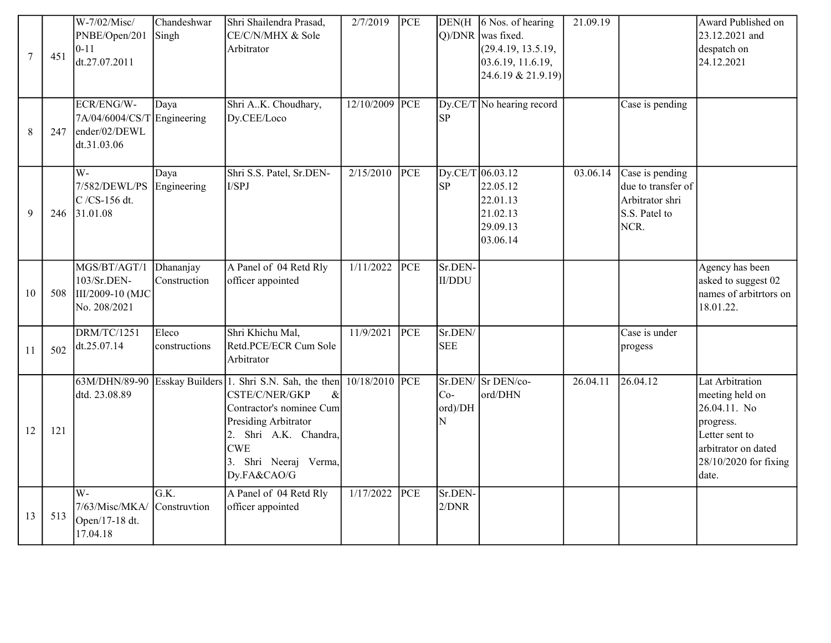| 7       | 451 | W-7/02/Misc/<br>PNBE/Open/201<br>$ 0-11 $<br>dt.27.07.2011                | Chandeshwar<br>Singh      | Shri Shailendra Prasad,<br>CE/C/N/MHX & Sole<br>Arbitrator                                                                                                                                                                        | 2/7/2019   | PCE |                          | DEN(H $\vert$ 6 Nos. of hearing<br>Q)/DNR  was fixed.<br>(29.4.19, 13.5.19,<br>03.6.19, 11.6.19,<br>24.6.19 & 21.9.19) | 21.09.19 |                                                                                   | Award Published on<br>23.12.2021 and<br>despatch on<br>24.12.2021                                                                          |
|---------|-----|---------------------------------------------------------------------------|---------------------------|-----------------------------------------------------------------------------------------------------------------------------------------------------------------------------------------------------------------------------------|------------|-----|--------------------------|------------------------------------------------------------------------------------------------------------------------|----------|-----------------------------------------------------------------------------------|--------------------------------------------------------------------------------------------------------------------------------------------|
| $\,8\,$ | 247 | ECR/ENG/W-<br>7A/04/6004/CS/T Engineering<br>ender/02/DEWL<br>dt.31.03.06 | Daya                      | Shri AK. Choudhary,<br>Dy.CEE/Loco                                                                                                                                                                                                | 12/10/2009 | PCE | SP                       | $Dy.CE/T$ No hearing record                                                                                            |          | Case is pending                                                                   |                                                                                                                                            |
| 9       | 246 | W-<br>7/582/DEWL/PS<br>C /CS-156 dt.<br>31.01.08                          | Daya<br>Engineering       | Shri S.S. Patel, Sr.DEN-<br>I/SPJ                                                                                                                                                                                                 | 2/15/2010  | PCE | SP                       | Dy.CE/T 06.03.12<br>22.05.12<br>22.01.13<br>21.02.13<br>29.09.13<br>03.06.14                                           | 03.06.14 | Case is pending<br>due to transfer of<br>Arbitrator shri<br>S.S. Patel to<br>NCR. |                                                                                                                                            |
| 10      | 508 | MGS/BT/AGT/1<br>103/Sr.DEN-<br>III/2009-10 (MJC<br>No. 208/2021           | Dhananjay<br>Construction | A Panel of 04 Retd Rly<br>officer appointed                                                                                                                                                                                       | 1/11/2022  | PCE | Sr.DEN-<br><b>II/DDU</b> |                                                                                                                        |          |                                                                                   | Agency has been<br>asked to suggest 02<br>names of arbitrtors on<br>18.01.22.                                                              |
| 11      | 502 | <b>DRM/TC/1251</b><br>dt.25.07.14                                         | Eleco<br>constructions    | Shri Khichu Mal,<br>Retd.PCE/ECR Cum Sole<br>Arbitrator                                                                                                                                                                           | 11/9/2021  | PCE | Sr.DEN/<br><b>SEE</b>    |                                                                                                                        |          | Case is under<br>progess                                                          |                                                                                                                                            |
| 12      | 121 | dtd. 23.08.89                                                             |                           | 63M/DHN/89-90 Esskay Builders 1. Shri S.N. Sah, the then 10/18/2010 PCE<br>CSTE/C/NER/GKP<br>&<br>Contractor's nominee Cum<br>Presiding Arbitrator<br>2. Shri A.K. Chandra,<br><b>CWE</b><br>3. Shri Neeraj Verma,<br>Dy.FA&CAO/G |            |     | $Co-$<br>ord)/DH<br>N    | Sr.DEN/Sr DEN/co-<br>ord/DHN                                                                                           | 26.04.11 | 26.04.12                                                                          | Lat Arbitration<br>meeting held on<br>26.04.11. No<br>progress.<br>Letter sent to<br>arbitrator on dated<br>28/10/2020 for fixing<br>date. |
| 13      | 513 | $\overline{\text{W}}$ -<br>7/63/Misc/MKA/<br>Open/17-18 dt.<br>17.04.18   | G.K.<br>Construvtion      | A Panel of 04 Retd Rly<br>officer appointed                                                                                                                                                                                       | 1/17/2022  | PCE | Sr.DEN-<br>2/DNR         |                                                                                                                        |          |                                                                                   |                                                                                                                                            |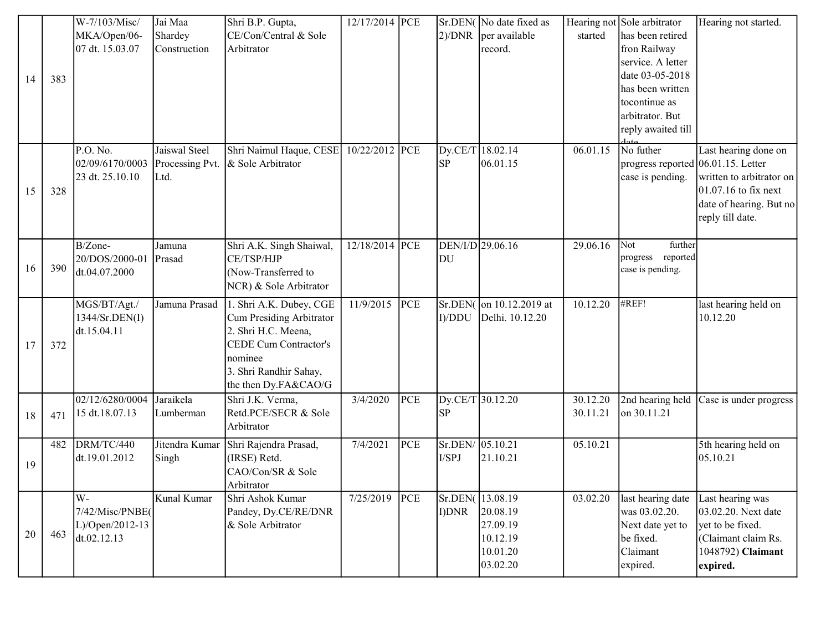|        |     | W-7/103/Misc/<br>MKA/Open/06-<br>07 dt. 15.03.07        | Jai Maa<br>Shardey<br>Construction       | Shri B.P. Gupta,<br>CE/Con/Central & Sole<br>Arbitrator                                                                                                                 | 12/17/2014 PCE |     | 2)/DNR                        | Sr.DEN( No date fixed as<br>per available<br>record.                         | started              | Hearing not Sole arbitrator<br>has been retired<br>fron Railway<br>service. A letter<br>date 03-05-2018 | Hearing not started.                                                                                                      |
|--------|-----|---------------------------------------------------------|------------------------------------------|-------------------------------------------------------------------------------------------------------------------------------------------------------------------------|----------------|-----|-------------------------------|------------------------------------------------------------------------------|----------------------|---------------------------------------------------------------------------------------------------------|---------------------------------------------------------------------------------------------------------------------------|
| 14     | 383 |                                                         |                                          |                                                                                                                                                                         |                |     |                               |                                                                              |                      | has been written<br>tocontinue as<br>arbitrator. But<br>reply awaited till                              |                                                                                                                           |
| 15     | 328 | P.O. No.<br>02/09/6170/0003<br>23 dt. 25.10.10          | Jaiswal Steel<br>Processing Pvt.<br>Ltd. | Shri Naimul Haque, CESE<br>& Sole Arbitrator                                                                                                                            | 10/22/2012 PCE |     | Dy.CE/T 18.02.14<br><b>SP</b> | 06.01.15                                                                     | 06.01.15             | No futher<br>progress reported $(06.01.15.$ Letter<br>case is pending.                                  | Last hearing done on<br>written to arbitrator on<br>$01.07.16$ to fix next<br>date of hearing. But no<br>reply till date. |
| 16     | 390 | B/Zone-<br>20/DOS/2000-01<br>dt.04.07.2000              | Jamuna<br>Prasad                         | Shri A.K. Singh Shaiwal,<br>CE/TSP/HJP<br>(Now-Transferred to<br>NCR) & Sole Arbitrator                                                                                 | 12/18/2014 PCE |     | DEN/I/D 29.06.16<br>DU        |                                                                              | 29.06.16             | Not<br>further<br>progress reported<br>case is pending.                                                 |                                                                                                                           |
| 17     | 372 | MGS/BT/Agt./<br>1344/Sr.DEN(I)<br>dt.15.04.11           | Jamuna Prasad                            | 1. Shri A.K. Dubey, CGE<br>Cum Presiding Arbitrator<br>2. Shri H.C. Meena,<br><b>CEDE Cum Contractor's</b><br>nominee<br>3. Shri Randhir Sahay,<br>the then Dy.FA&CAO/G | 11/9/2015      | PCE | I)/DDU                        | Sr.DEN(on 10.12.2019 at<br>Delhi. 10.12.20                                   | 10.12.20             | #REF!                                                                                                   | last hearing held on<br>10.12.20                                                                                          |
| $18\,$ | 471 | 02/12/6280/0004 Jaraikela<br>15 dt.18.07.13             | Lumberman                                | Shri J.K. Verma,<br>Retd.PCE/SECR & Sole<br>Arbitrator                                                                                                                  | 3/4/2020       | PCE | Dy.CE/T 30.12.20<br><b>SP</b> |                                                                              | 30.12.20<br>30.11.21 | on 30.11.21                                                                                             | 2nd hearing held Case is under progress                                                                                   |
| 19     | 482 | DRM/TC/440<br>dt.19.01.2012                             | Jitendra Kumar<br>Singh                  | Shri Rajendra Prasad,<br>(IRSE) Retd.<br>CAO/Con/SR & Sole<br>Arbitrator                                                                                                | 7/4/2021       | PCE | Sr.DEN/ 05.10.21<br>I/SPJ     | 21.10.21                                                                     | 05.10.21             |                                                                                                         | 5th hearing held on<br> 05.10.21                                                                                          |
| 20     | 463 | W-<br>7/42/Misc/PNBE(<br>L)/Open/2012-13<br>dt.02.12.13 | Kunal Kumar                              | Shri Ashok Kumar<br>Pandey, Dy.CE/RE/DNR<br>& Sole Arbitrator                                                                                                           | 7/25/2019      | PCE | I) DNR                        | Sr.DEN(13.08.19)<br>20.08.19<br>27.09.19<br>10.12.19<br>10.01.20<br>03.02.20 | 03.02.20             | last hearing date<br>was 03.02.20.<br>Next date yet to<br>be fixed.<br>Claimant<br>expired.             | Last hearing was<br>03.02.20. Next date<br>yet to be fixed.<br>(Claimant claim Rs.<br>1048792) Claimant<br>expired.       |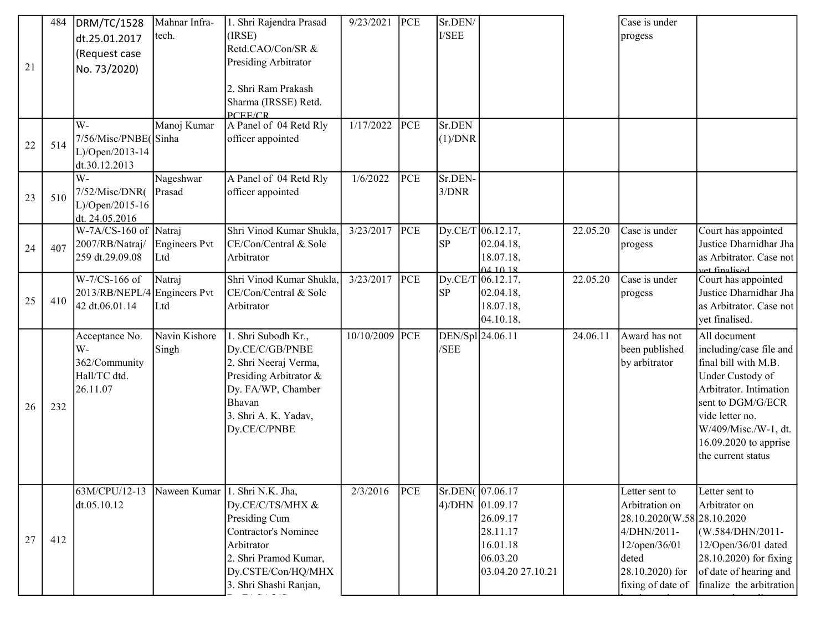|    | 484 | <b>DRM/TC/1528</b>                           | Mahnar Infra-        | 1. Shri Rajendra Prasad                     | 9/23/2021      | PCE | Sr.DEN/          |                             |          | Case is under               |                                               |
|----|-----|----------------------------------------------|----------------------|---------------------------------------------|----------------|-----|------------------|-----------------------------|----------|-----------------------------|-----------------------------------------------|
|    |     | dt.25.01.2017                                | tech.                | (IRSE)                                      |                |     | ${\it I/SEE}$    |                             |          | progess                     |                                               |
|    |     | (Request case                                |                      | Retd.CAO/Con/SR &                           |                |     |                  |                             |          |                             |                                               |
| 21 |     | No. 73/2020)                                 |                      | Presiding Arbitrator                        |                |     |                  |                             |          |                             |                                               |
|    |     |                                              |                      | 2. Shri Ram Prakash                         |                |     |                  |                             |          |                             |                                               |
|    |     |                                              |                      | Sharma (IRSSE) Retd.                        |                |     |                  |                             |          |                             |                                               |
|    |     |                                              |                      | PCEE/CR                                     |                |     |                  |                             |          |                             |                                               |
|    |     | W-                                           | Manoj Kumar          | A Panel of 04 Retd Rly                      | 1/17/2022      | PCE | Sr.DEN           |                             |          |                             |                                               |
| 22 | 514 | 7/56/Misc/PNBE(Sinha                         |                      | officer appointed                           |                |     | (1)/DNR          |                             |          |                             |                                               |
|    |     | L)/Open/2013-14                              |                      |                                             |                |     |                  |                             |          |                             |                                               |
|    |     | dt.30.12.2013<br>W-                          |                      |                                             |                |     |                  |                             |          |                             |                                               |
|    |     | 7/52/Misc/DNR(                               | Nageshwar<br>Prasad  | A Panel of 04 Retd Rly<br>officer appointed | 1/6/2022       | PCE | Sr.DEN-<br>3/DNR |                             |          |                             |                                               |
| 23 | 510 | L)/Open/2015-16                              |                      |                                             |                |     |                  |                             |          |                             |                                               |
|    |     | dt. 24.05.2016                               |                      |                                             |                |     |                  |                             |          |                             |                                               |
|    |     | W-7A/CS-160 of Natraj                        |                      | Shri Vinod Kumar Shukla,                    | 3/23/2017      | PCE |                  | $Dy.CE/T$ 06.12.17,         | 22.05.20 | Case is under               | Court has appointed                           |
| 24 | 407 | 2007/RB/Natraj/                              | <b>Engineers Pvt</b> | CE/Con/Central & Sole                       |                |     | <b>SP</b>        | 02.04.18,                   |          | progess                     | Justice Dharnidhar Jha                        |
|    |     | 259 dt.29.09.08                              | Ltd                  | Arbitrator                                  |                |     |                  | 18.07.18,                   |          |                             | as Arbitrator. Case not                       |
|    |     | W-7/CS-166 of                                | Natraj               | Shri Vinod Kumar Shukla,                    | 3/23/2017      | PCE |                  | 041018<br>Dy.CE/T 06.12.17, | 22.05.20 | Case is under               | <u>vet finalised</u><br>Court has appointed   |
|    |     | 2013/RB/NEPL/4                               | Engineers Pvt        | CE/Con/Central & Sole                       |                |     | <b>SP</b>        | 02.04.18,                   |          | progess                     | Justice Dharnidhar Jha                        |
| 25 | 410 | 42 dt.06.01.14                               | Ltd                  | Arbitrator                                  |                |     |                  | 18.07.18,                   |          |                             | as Arbitrator. Case not                       |
|    |     |                                              |                      |                                             |                |     |                  | 04.10.18,                   |          |                             | yet finalised.                                |
|    |     | Acceptance No.                               | Navin Kishore        | 1. Shri Subodh Kr.,                         | 10/10/2009 PCE |     | DEN/Spl 24.06.11 |                             | 24.06.11 | Award has not               | All document                                  |
|    |     | $W -$                                        | Singh                | Dy.CE/C/GB/PNBE                             |                |     | /SEE             |                             |          | been published              | including/case file and $\vert$               |
|    |     | 362/Community                                |                      | 2. Shri Neeraj Verma,                       |                |     |                  |                             |          | by arbitrator               | final bill with M.B.                          |
|    |     | Hall/TC dtd.                                 |                      | Presiding Arbitrator &                      |                |     |                  |                             |          |                             | Under Custody of                              |
|    |     | 26.11.07                                     |                      | Dy. FA/WP, Chamber                          |                |     |                  |                             |          |                             | Arbitrator. Intimation                        |
| 26 | 232 |                                              |                      | Bhavan                                      |                |     |                  |                             |          |                             | sent to DGM/G/ECR                             |
|    |     |                                              |                      | 3. Shri A. K. Yadav,                        |                |     |                  |                             |          |                             | vide letter no.                               |
|    |     |                                              |                      | Dy.CE/C/PNBE                                |                |     |                  |                             |          |                             | W/409/Misc./W-1, dt.                          |
|    |     |                                              |                      |                                             |                |     |                  |                             |          |                             | 16.09.2020 to apprise                         |
|    |     |                                              |                      |                                             |                |     |                  |                             |          |                             | the current status                            |
|    |     |                                              |                      |                                             |                |     |                  |                             |          |                             |                                               |
|    |     | 63M/CPU/12-13 Naween Kumar 1. Shri N.K. Jha, |                      |                                             | 2/3/2016       | PCE | Sr.DEN(07.06.17  |                             |          | Letter sent to              | Letter sent to                                |
|    |     | dt.05.10.12                                  |                      | Dy.CE/C/TS/MHX &                            |                |     | 4)/DHN 01.09.17  |                             |          | Arbitration on              | Arbitrator on                                 |
|    |     |                                              |                      | Presiding Cum                               |                |     |                  | 26.09.17                    |          | 28.10.2020(W.58 28.10.2020) |                                               |
| 27 | 412 |                                              |                      | <b>Contractor's Nominee</b><br>Arbitrator   |                |     |                  | 28.11.17                    |          | 4/DHN/2011-                 | (W.584/DHN/2011-                              |
|    |     |                                              |                      | 2. Shri Pramod Kumar,                       |                |     |                  | 16.01.18<br>06.03.20        |          | 12/open/36/01<br>deted      | 12/Open/36/01 dated<br>28.10.2020) for fixing |
|    |     |                                              |                      | Dy.CSTE/Con/HQ/MHX                          |                |     |                  | 03.04.20 27.10.21           |          | 28.10.2020) for             | of date of hearing and                        |
|    |     |                                              |                      | 3. Shri Shashi Ranjan,                      |                |     |                  |                             |          | fixing of date of           | finalize the arbitration                      |
|    |     |                                              |                      |                                             |                |     |                  |                             |          |                             |                                               |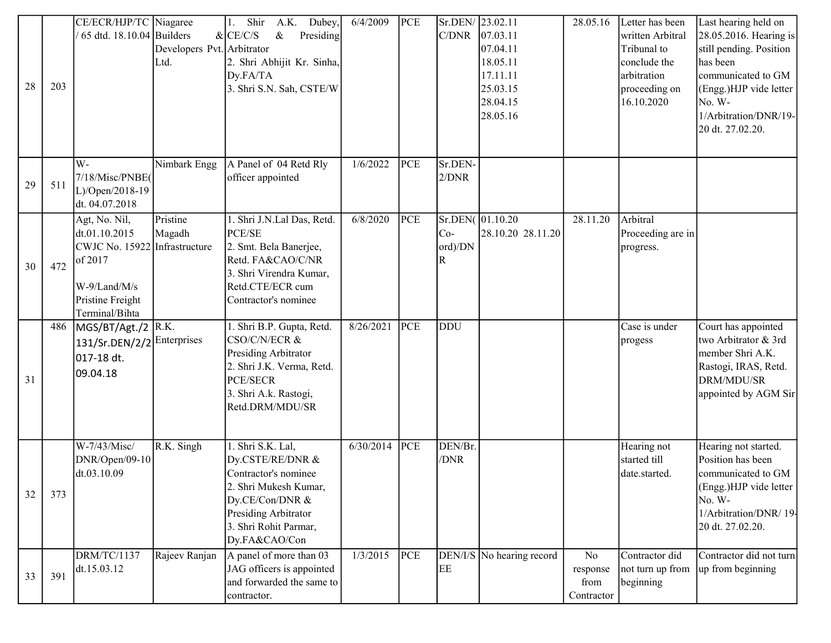| 28 | 203 | CE/ECR/HJP/TC Niagaree<br>$65$ dtd. 18.10.04 Builders                                                                            | Developers Pvt. Arbitrator<br>Ltd. | 1. Shir<br>A.K.<br>Dubey,<br>$\&$<br>$&$ CE/C/S<br>Presiding<br>2. Shri Abhijit Kr. Sinha,<br>Dy.FA/TA<br>3. Shri S.N. Sah, CSTE/W                                          | 6/4/2009  | PCE | Sr.DEN/ 23.02.11<br>C/DNR | 07.03.11<br>07.04.11<br>18.05.11<br>17.11.11<br>25.03.15<br>28.04.15<br>28.05.16 | 28.05.16                             | Letter has been<br>written Arbitral<br>Tribunal to<br>conclude the<br>arbitration<br>proceeding on<br>16.10.2020 | Last hearing held on<br>28.05.2016. Hearing is<br>still pending. Position<br>has been<br>communicated to GM<br>(Engg.)HJP vide letter<br>No. W-<br>1/Arbitration/DNR/19-<br>20 dt. 27.02.20. |
|----|-----|----------------------------------------------------------------------------------------------------------------------------------|------------------------------------|-----------------------------------------------------------------------------------------------------------------------------------------------------------------------------|-----------|-----|---------------------------|----------------------------------------------------------------------------------|--------------------------------------|------------------------------------------------------------------------------------------------------------------|----------------------------------------------------------------------------------------------------------------------------------------------------------------------------------------------|
| 29 | 511 | W-<br>7/18/Misc/PNBE(<br>L)/Open/2018-19<br>dt. 04.07.2018                                                                       | Nimbark Engg                       | A Panel of 04 Retd Rly<br>officer appointed                                                                                                                                 | 1/6/2022  | PCE | Sr.DEN-<br>2/DNR          |                                                                                  |                                      |                                                                                                                  |                                                                                                                                                                                              |
| 30 | 472 | Agt, No. Nil,<br>dt.01.10.2015<br>CWJC No. 15922 Infrastructure<br>of 2017<br>W-9/Land/M/s<br>Pristine Freight<br>Terminal/Bihta | Pristine<br>Magadh                 | 1. Shri J.N.Lal Das, Retd.<br>PCE/SE<br>2. Smt. Bela Banerjee,<br>Retd. FA&CAO/C/NR<br>3. Shri Virendra Kumar,<br>Retd.CTE/ECR cum<br>Contractor's nominee                  | 6/8/2020  | PCE | $Co-$<br>ord)/DN<br>R     | $Sr.DEN($ 01.10.20<br>28.10.20 28.11.20                                          | 28.11.20                             | Arbitral<br>Proceeding are in<br>progress.                                                                       |                                                                                                                                                                                              |
| 31 | 486 | MGS/BT/Agt./2 R.K.<br>131/Sr.DEN/2/2<br>017-18 dt.<br>09.04.18                                                                   | Enterprises                        | 1. Shri B.P. Gupta, Retd.<br>CSO/C/N/ECR &<br>Presiding Arbitrator<br>2. Shri J.K. Verma, Retd.<br>PCE/SECR<br>3. Shri A.k. Rastogi,<br>Retd.DRM/MDU/SR                     | 8/26/2021 | PCE | <b>DDU</b>                |                                                                                  |                                      | Case is under<br>progess                                                                                         | Court has appointed<br>two Arbitrator & 3rd<br>member Shri A.K.<br>Rastogi, IRAS, Retd.<br>DRM/MDU/SR<br>appointed by AGM Sir                                                                |
| 32 | 373 | W-7/43/Misc/<br>DNR/Open/09-10<br>dt.03.10.09                                                                                    | R.K. Singh                         | 1. Shri S.K. Lal,<br>Dy.CSTE/RE/DNR &<br>Contractor's nominee<br>2. Shri Mukesh Kumar,<br>Dy.CE/Con/DNR &<br>Presiding Arbitrator<br>3. Shri Rohit Parmar,<br>Dy.FA&CAO/Con | 6/30/2014 | PCE | DEN/Br.<br>/DNR           |                                                                                  |                                      | Hearing not<br>started till<br>date.started.                                                                     | Hearing not started.<br>Position has been<br>communicated to GM<br>(Engg.)HJP vide letter<br>No. W-<br>1/Arbitration/DNR/19-<br>20 dt. 27.02.20.                                             |
| 33 | 391 | <b>DRM/TC/1137</b><br>dt.15.03.12                                                                                                | Rajeev Ranjan                      | A panel of more than 03<br>JAG officers is appointed<br>and forwarded the same to<br>contractor.                                                                            | 1/3/2015  | PCE | EE                        | DEN/I/S No hearing record                                                        | No<br>response<br>from<br>Contractor | Contractor did<br>not turn up from<br>beginning                                                                  | Contractor did not turn<br>up from beginning                                                                                                                                                 |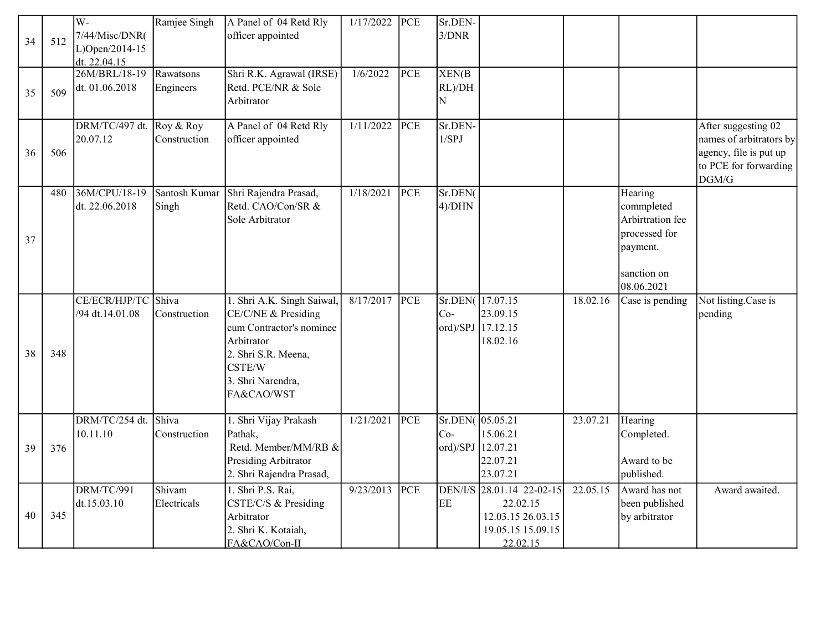| 34 | 512 | W-<br>7/44/Misc/DNR(<br>L)Open/2014-15<br>dt. 22.04.15 | Ramjee Singh              | A Panel of 04 Retd Rly<br>officer appointed                                                                                                                     | 1/17/2022 | PCE | Sr.DEN-<br>3/DNR                              |                                                                                             |          |                                                                                                     |                                                                                                            |
|----|-----|--------------------------------------------------------|---------------------------|-----------------------------------------------------------------------------------------------------------------------------------------------------------------|-----------|-----|-----------------------------------------------|---------------------------------------------------------------------------------------------|----------|-----------------------------------------------------------------------------------------------------|------------------------------------------------------------------------------------------------------------|
| 35 | 509 | 26M/BRL/18-19<br>dt. 01.06.2018                        | Rawatsons<br>Engineers    | Shri R.K. Agrawal (IRSE)<br>Retd. PCE/NR & Sole<br>Arbitrator                                                                                                   | 1/6/2022  | PCE | XEN(B)<br>RL)/DH<br>N                         |                                                                                             |          |                                                                                                     |                                                                                                            |
| 36 | 506 | DRM/TC/497 dt.<br>20.07.12                             | Roy & Roy<br>Construction | A Panel of 04 Retd Rly<br>officer appointed                                                                                                                     | 1/11/2022 | PCE | Sr.DEN-<br>1/SPJ                              |                                                                                             |          |                                                                                                     | After suggesting 02<br>names of arbitrators by<br>agency, file is put up<br>to PCE for forwarding<br>DGM/G |
| 37 | 480 | 36M/CPU/18-19<br>dt. 22.06.2018                        | Santosh Kumar<br>Singh    | Shri Rajendra Prasad,<br>Retd. CAO/Con/SR &<br>Sole Arbitrator                                                                                                  | 1/18/2021 | PCE | Sr.DEN(<br>$4$ )/DHN                          |                                                                                             |          | Hearing<br>commpleted<br>Arbirtration fee<br>processed for<br>payment.<br>sanction on<br>08.06.2021 |                                                                                                            |
| 38 | 348 | CE/ECR/HJP/TC Shiva<br>/94 dt.14.01.08                 | Construction              | 1. Shri A.K. Singh Saiwal,<br>CE/C/NE & Presiding<br>cum Contractor's nominee<br>Arbitrator<br>2. Shri S.R. Meena,<br>CSTE/W<br>3. Shri Narendra,<br>FA&CAO/WST | 8/17/2017 | PCE | Sr.DEN(17.07.15<br>$Co-$<br>ord)/SPJ 17.12.15 | 23.09.15<br>18.02.16                                                                        | 18.02.16 | Case is pending                                                                                     | Not listing.Case is<br>pending                                                                             |
| 39 | 376 | DRM/TC/254 dt.<br>10.11.10                             | Shiva<br>Construction     | 1. Shri Vijay Prakash<br>Pathak,<br>Retd. Member/MM/RB &<br>Presiding Arbitrator<br>2. Shri Rajendra Prasad,                                                    | 1/21/2021 | PCE | Sr.DEN(05.05.21<br>$Co-$<br>ord)/SPJ 12.07.21 | 15.06.21<br>22.07.21<br>23.07.21                                                            | 23.07.21 | Hearing<br>Completed.<br>Award to be<br>published.                                                  |                                                                                                            |
| 40 | 345 | DRM/TC/991<br>dt.15.03.10                              | Shivam<br>Electricals     | 1. Shri P.S. Rai,<br>CSTE/C/S & Presiding<br>Arbitrator<br>2. Shri K. Kotaiah,<br>FA&CAO/Con-II                                                                 | 9/23/2013 | PCE | EE                                            | DEN/I/S 28.01.14 22-02-15<br>22.02.15<br>12.03.15 26.03.15<br>19.05.15 15.09.15<br>22.02.15 | 22.05.15 | Award has not<br>been published<br>by arbitrator                                                    | Award awaited.                                                                                             |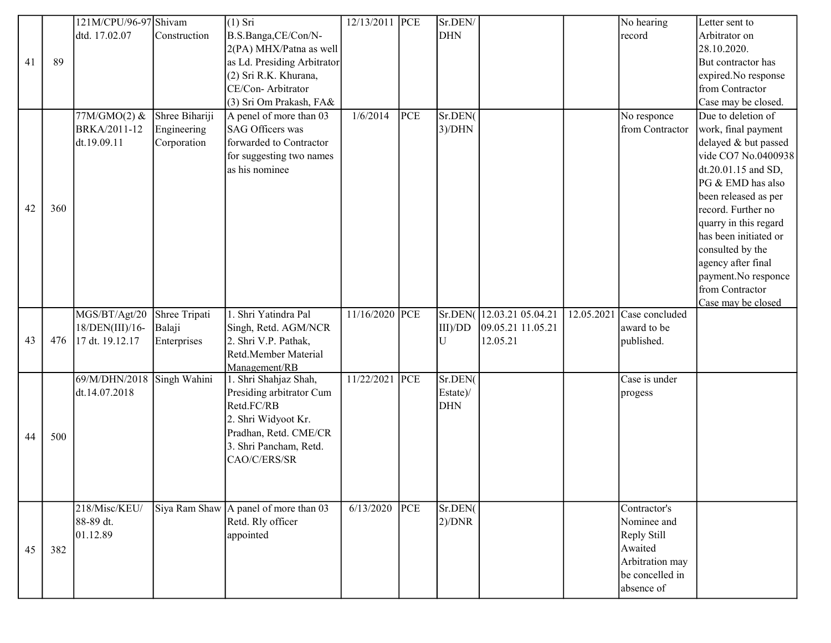|    |     | 121M/CPU/96-97 Shivam      |                | $(1)$ Sri                                    | 12/13/2011 PCE |     | Sr.DEN/                |                   | No hearing                    | Letter sent to        |
|----|-----|----------------------------|----------------|----------------------------------------------|----------------|-----|------------------------|-------------------|-------------------------------|-----------------------|
|    |     | dtd. 17.02.07              | Construction   | B.S.Banga,CE/Con/N-                          |                |     | <b>DHN</b>             |                   | record                        | Arbitrator on         |
|    |     |                            |                | 2(PA) MHX/Patna as well                      |                |     |                        |                   |                               | 28.10.2020.           |
| 41 | 89  |                            |                | as Ld. Presiding Arbitrator                  |                |     |                        |                   |                               | But contractor has    |
|    |     |                            |                | (2) Sri R.K. Khurana,                        |                |     |                        |                   |                               | expired.No response   |
|    |     |                            |                | CE/Con-Arbitrator                            |                |     |                        |                   |                               | from Contractor       |
|    |     |                            |                | (3) Sri Om Prakash, FA&                      |                |     |                        |                   |                               | Case may be closed.   |
|    |     | 77M/GMO(2) &               | Shree Bihariji | A penel of more than 03                      | 1/6/2014       | PCE | Sr.DEN(                |                   | No responce                   | Due to deletion of    |
|    |     | BRKA/2011-12               | Engineering    | SAG Officers was                             |                |     | $3$ )/DHN              |                   | from Contractor               | work, final payment   |
|    |     | dt.19.09.11                | Corporation    | forwarded to Contractor                      |                |     |                        |                   |                               | delayed & but passed  |
|    |     |                            |                | for suggesting two names                     |                |     |                        |                   |                               | vide CO7 No.0400938   |
|    |     |                            |                | as his nominee                               |                |     |                        |                   |                               | dt.20.01.15 and SD,   |
|    |     |                            |                |                                              |                |     |                        |                   |                               | PG & EMD has also     |
|    |     |                            |                |                                              |                |     |                        |                   |                               | been released as per  |
| 42 | 360 |                            |                |                                              |                |     |                        |                   |                               | record. Further no    |
|    |     |                            |                |                                              |                |     |                        |                   |                               | quarry in this regard |
|    |     |                            |                |                                              |                |     |                        |                   |                               | has been initiated or |
|    |     |                            |                |                                              |                |     |                        |                   |                               | consulted by the      |
|    |     |                            |                |                                              |                |     |                        |                   |                               | agency after final    |
|    |     |                            |                |                                              |                |     |                        |                   |                               | payment.No responce   |
|    |     |                            |                |                                              |                |     |                        |                   |                               | from Contractor       |
|    |     |                            |                |                                              |                |     |                        |                   |                               | Case may be closed    |
|    |     |                            |                |                                              |                |     |                        |                   |                               |                       |
|    |     | MGS/BT/Agt/20              | Shree Tripati  | 1. Shri Yatindra Pal                         | 11/16/2020 PCE |     | Sr.DEN(                | 12.03.21 05.04.21 | $12.05.2021$ Case concluded   |                       |
|    |     | 18/DEN(III)/16-            | Balaji         | Singh, Retd. AGM/NCR                         |                |     | III/DD                 | 09.05.21 11.05.21 | award to be                   |                       |
| 43 | 476 | 17 dt. 19.12.17            | Enterprises    | 2. Shri V.P. Pathak,                         |                |     | U                      | 12.05.21          | published.                    |                       |
|    |     |                            |                | Retd.Member Material                         |                |     |                        |                   |                               |                       |
|    |     |                            |                | Management/RB                                |                |     |                        |                   |                               |                       |
|    |     | 69/M/DHN/2018 Singh Wahini |                | 1. Shri Shahjaz Shah,                        | 11/22/2021     | PCE | Sr.DEN(                |                   | Case is under                 |                       |
|    |     | dt.14.07.2018              |                | Presiding arbitrator Cum<br>Retd.FC/RB       |                |     | Estate)/<br><b>DHN</b> |                   | progess                       |                       |
|    |     |                            |                |                                              |                |     |                        |                   |                               |                       |
|    |     |                            |                | 2. Shri Widyoot Kr.<br>Pradhan, Retd. CME/CR |                |     |                        |                   |                               |                       |
| 44 | 500 |                            |                | 3. Shri Pancham, Retd.                       |                |     |                        |                   |                               |                       |
|    |     |                            |                | CAO/C/ERS/SR                                 |                |     |                        |                   |                               |                       |
|    |     |                            |                |                                              |                |     |                        |                   |                               |                       |
|    |     |                            |                |                                              |                |     |                        |                   |                               |                       |
|    |     |                            |                |                                              |                |     |                        |                   |                               |                       |
|    |     | 218/Misc/KEU/              |                | Siya Ram Shaw A panel of more than 03        | 6/13/2020      | PCE | Sr.DEN(                |                   | Contractor's                  |                       |
|    |     | 88-89 dt.                  |                | Retd. Rly officer                            |                |     | $2$ )/DNR              |                   | Nominee and                   |                       |
|    |     | 01.12.89                   |                | appointed                                    |                |     |                        |                   | Reply Still                   |                       |
| 45 | 382 |                            |                |                                              |                |     |                        |                   | Awaited                       |                       |
|    |     |                            |                |                                              |                |     |                        |                   | Arbitration may               |                       |
|    |     |                            |                |                                              |                |     |                        |                   | be concelled in<br>absence of |                       |

agency response.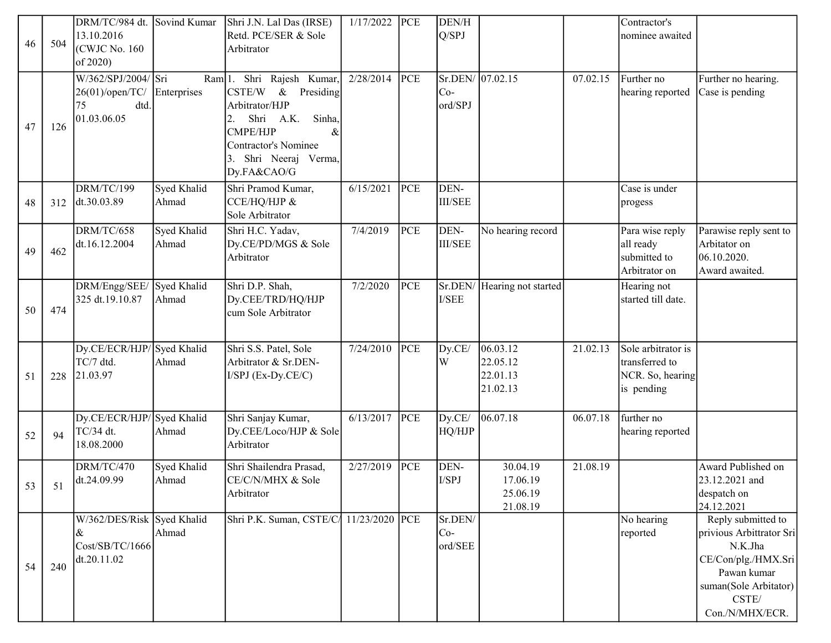| 46 | 504 | DRM/TC/984 dt.<br>13.10.2016<br>(CWJC No. 160)<br>of 2020)          | Sovind Kumar          | Shri J.N. Lal Das (IRSE)<br>Retd. PCE/SER & Sole<br>Arbitrator                                                                                                                                     | 1/17/2022 | PCE | DEN/H<br>Q/SPJ                       |                                              |          | Contractor's<br>nominee awaited                                        |                                                                                                                                                      |
|----|-----|---------------------------------------------------------------------|-----------------------|----------------------------------------------------------------------------------------------------------------------------------------------------------------------------------------------------|-----------|-----|--------------------------------------|----------------------------------------------|----------|------------------------------------------------------------------------|------------------------------------------------------------------------------------------------------------------------------------------------------|
| 47 | 126 | W/362/SPJ/2004/ Sri<br>26(01)/open/TC/<br>dtd.<br>75<br>01.03.06.05 | Ram[1.<br>Enterprises | Shri Rajesh Kumar,<br>CSTE/W<br>$\&$<br>Presiding<br>Arbitrator/HJP<br>Sinha,<br>Shri<br>A.K.<br>2.<br><b>CMPE/HJP</b><br>$\&$<br><b>Contractor's Nominee</b><br>Shri Neeraj Verma,<br>Dy.FA&CAO/G | 2/28/2014 | PCE | Sr.DEN/ 07.02.15<br>$Co-$<br>ord/SPJ |                                              | 07.02.15 | Further no<br>hearing reported                                         | Further no hearing.<br>Case is pending                                                                                                               |
| 48 | 312 | DRM/TC/199<br>dt.30.03.89                                           | Syed Khalid<br>Ahmad  | Shri Pramod Kumar,<br>CCE/HQ/HJP &<br>Sole Arbitrator                                                                                                                                              | 6/15/2021 | PCE | DEN-<br><b>III/SEE</b>               |                                              |          | Case is under<br>progess                                               |                                                                                                                                                      |
| 49 | 462 | DRM/TC/658<br>dt.16.12.2004                                         | Syed Khalid<br>Ahmad  | Shri H.C. Yadav,<br>Dy.CE/PD/MGS & Sole<br>Arbitrator                                                                                                                                              | 7/4/2019  | PCE | DEN-<br><b>III/SEE</b>               | No hearing record                            |          | Para wise reply<br>all ready<br>submitted to<br>Arbitrator on          | Parawise reply sent to<br>Arbitator on<br>06.10.2020.<br>Award awaited.                                                                              |
| 50 | 474 | DRM/Engg/SEE/<br>325 dt.19.10.87                                    | Syed Khalid<br>Ahmad  | Shri D.P. Shah,<br>Dy.CEE/TRD/HQ/HJP<br>cum Sole Arbitrator                                                                                                                                        | 7/2/2020  | PCE | I/SEE                                | Sr.DEN/ Hearing not started                  |          | Hearing not<br>started till date.                                      |                                                                                                                                                      |
| 51 | 228 | Dy.CE/ECR/HJP/Syed Khalid<br>TC/7 dtd.<br>21.03.97                  | Ahmad                 | Shri S.S. Patel, Sole<br>Arbitrator & Sr.DEN-<br>I/SPJ (Ex-Dy.CE/C)                                                                                                                                | 7/24/2010 | PCE | Dy.CE/<br>W                          | 06.03.12<br>22.05.12<br>22.01.13<br>21.02.13 | 21.02.13 | Sole arbitrator is<br>transferred to<br>NCR. So, hearing<br>is pending |                                                                                                                                                      |
| 52 | 94  | Dy.CE/ECR/HJP/Syed Khalid<br>TC/34 dt.<br>18.08.2000                | Ahmad                 | Shri Sanjay Kumar,<br>Dy.CEE/Loco/HJP & Sole<br>Arbitrator                                                                                                                                         | 6/13/2017 | PCE | Dy.CE/<br>HQ/HJP                     | 06.07.18                                     | 06.07.18 | further no<br>hearing reported                                         |                                                                                                                                                      |
| 53 | 51  | DRM/TC/470<br>dt.24.09.99                                           | Syed Khalid<br>Ahmad  | Shri Shailendra Prasad,<br>CE/C/N/MHX & Sole<br>Arbitrator                                                                                                                                         | 2/27/2019 | PCE | DEN-<br>I/SPJ                        | 30.04.19<br>17.06.19<br>25.06.19<br>21.08.19 | 21.08.19 |                                                                        | Award Published on<br>23.12.2021 and<br>despatch on<br>24.12.2021                                                                                    |
| 54 | 240 | W/362/DES/Risk Syed Khalid<br>&<br>Cost/SB/TC/1666<br>dt.20.11.02   | Ahmad                 | Shri P.K. Suman, CSTE/C 11/23/2020 PCE                                                                                                                                                             |           |     | Sr.DEN/<br>$Co-$<br>ord/SEE          |                                              |          | No hearing<br>reported                                                 | Reply submitted to<br>privious Arbittrator Sri<br>N.K.Jha<br>CE/Con/plg./HMX.Sri<br>Pawan kumar<br>suman(Sole Arbitator)<br>CSTE/<br>Con./N/MHX/ECR. |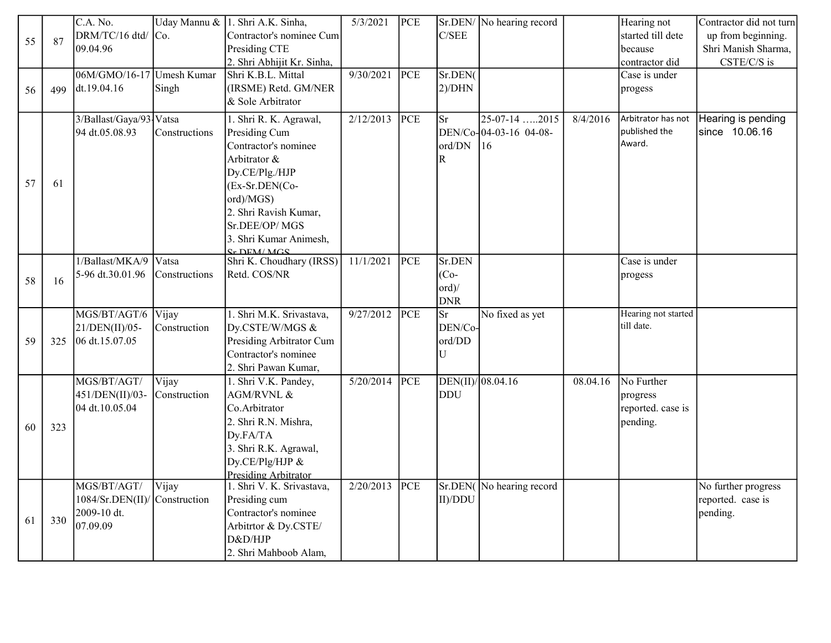|    |     | C.A. No.                  |               | Uday Mannu & 1. Shri A.K. Sinha,                 | 5/3/2021  | PCE        |                   | Sr.DEN/ No hearing record |          | Hearing not                         | Contractor did not turn              |
|----|-----|---------------------------|---------------|--------------------------------------------------|-----------|------------|-------------------|---------------------------|----------|-------------------------------------|--------------------------------------|
|    |     | DRM/TC/16 dtd/            | Co.           | Contractor's nominee Cum                         |           |            | C/SEE             |                           |          | started till dete                   | up from beginning.                   |
| 55 | 87  | 09.04.96                  |               | Presiding CTE                                    |           |            |                   |                           |          | because                             | Shri Manish Sharma,                  |
|    |     |                           |               | 2. Shri Abhijit Kr. Sinha,                       |           |            |                   |                           |          | contractor did                      | CSTE/C/S is                          |
|    |     | 06M/GMO/16-17 Umesh Kumar |               | Shri K.B.L. Mittal                               | 9/30/2021 | PCE        | Sr.DEN(           |                           |          | Case is under                       |                                      |
| 56 | 499 | dt.19.04.16               | Singh         | (IRSME) Retd. GM/NER                             |           |            | $2$ )/DHN         |                           |          | progess                             |                                      |
|    |     |                           |               | & Sole Arbitrator                                |           |            |                   |                           |          |                                     |                                      |
|    |     |                           |               |                                                  | 2/12/2013 |            |                   |                           |          |                                     |                                      |
|    |     | 3/Ballast/Gaya/93-Vatsa   |               | 1. Shri R. K. Agrawal,                           |           | PCE        | <b>Sr</b>         | 25-07-14 2015             | 8/4/2016 | Arbitrator has not<br>published the | Hearing is pending<br>since 10.06.16 |
|    |     | 94 dt.05.08.93            | Constructions | Presiding Cum                                    |           |            |                   | DEN/Co-04-03-16 04-08-    |          | Award.                              |                                      |
|    |     |                           |               | Contractor's nominee                             |           |            | ord/DN            | 16                        |          |                                     |                                      |
|    |     |                           |               | Arbitrator &                                     |           |            | $\mathbf R$       |                           |          |                                     |                                      |
| 57 |     |                           |               | Dy.CE/Plg./HJP                                   |           |            |                   |                           |          |                                     |                                      |
|    | 61  |                           |               | (Ex-Sr.DEN(Co-                                   |           |            |                   |                           |          |                                     |                                      |
|    |     |                           |               | ord)/MGS)                                        |           |            |                   |                           |          |                                     |                                      |
|    |     |                           |               | 2. Shri Ravish Kumar,                            |           |            |                   |                           |          |                                     |                                      |
|    |     |                           |               | Sr.DEE/OP/MGS                                    |           |            |                   |                           |          |                                     |                                      |
|    |     |                           |               | 3. Shri Kumar Animesh,                           |           |            |                   |                           |          |                                     |                                      |
|    |     | 1/Ballast/MKA/9           | Vatsa         | <b>Sr DEM/MGS</b><br>Shri K. Choudhary (IRSS)    | 11/1/2021 | PCE        | Sr.DEN            |                           |          | Case is under                       |                                      |
|    |     | 5-96 dt.30.01.96          |               | Retd. COS/NR                                     |           |            | $(Co-$            |                           |          |                                     |                                      |
| 58 | 16  |                           | Constructions |                                                  |           |            | ord)/             |                           |          | progess                             |                                      |
|    |     |                           |               |                                                  |           |            | <b>DNR</b>        |                           |          |                                     |                                      |
|    |     | MGS/BT/AGT/6              | Vijay         | 1. Shri M.K. Srivastava,                         | 9/27/2012 | PCE        | <b>Sr</b>         | No fixed as yet           |          | Hearing not started                 |                                      |
|    |     |                           |               |                                                  |           |            | DEN/Co-           |                           |          | till date.                          |                                      |
|    |     | 21/DEN(II)/05-            | Construction  | Dy.CSTE/W/MGS &                                  |           |            |                   |                           |          |                                     |                                      |
| 59 | 325 | 06 dt.15.07.05            |               | Presiding Arbitrator Cum<br>Contractor's nominee |           |            | ord/DD<br>U       |                           |          |                                     |                                      |
|    |     |                           |               |                                                  |           |            |                   |                           |          |                                     |                                      |
|    |     |                           |               | 2. Shri Pawan Kumar,                             |           |            |                   |                           |          |                                     |                                      |
|    |     | MGS/BT/AGT/               | Vijay         | 1. Shri V.K. Pandey,                             | 5/20/2014 | <b>PCE</b> | DEN(II)/108.04.16 |                           | 08.04.16 | No Further                          |                                      |
|    |     | 451/DEN(II)/03-           | Construction  | AGM/RVNL &                                       |           |            | <b>DDU</b>        |                           |          | progress                            |                                      |
|    |     | 04 dt.10.05.04            |               | Co.Arbitrator                                    |           |            |                   |                           |          | reported. case is                   |                                      |
| 60 | 323 |                           |               | 2. Shri R.N. Mishra,                             |           |            |                   |                           |          | pending.                            |                                      |
|    |     |                           |               | Dy.FA/TA                                         |           |            |                   |                           |          |                                     |                                      |
|    |     |                           |               | 3. Shri R.K. Agrawal,                            |           |            |                   |                           |          |                                     |                                      |
|    |     |                           |               | Dy.CE/Plg/HJP &                                  |           |            |                   |                           |          |                                     |                                      |
|    |     |                           |               | <b>Presiding Arbitrator</b>                      |           |            |                   |                           |          |                                     |                                      |
|    |     | MGS/BT/AGT/               | Vijay         | 1. Shri V. K. Srivastava,                        | 2/20/2013 | PCE        |                   | Sr.DEN(No hearing record  |          |                                     | No further progress                  |
|    |     | 1084/Sr.DEN(II)           | Construction  | Presiding cum                                    |           |            | II)/DDU           |                           |          |                                     | reported. case is                    |
| 61 | 330 | 2009-10 dt.               |               | Contractor's nominee                             |           |            |                   |                           |          |                                     | pending.                             |
|    |     | 07.09.09                  |               | Arbitrtor & Dy.CSTE/                             |           |            |                   |                           |          |                                     |                                      |
|    |     |                           |               | D&D/HJP                                          |           |            |                   |                           |          |                                     |                                      |
|    |     |                           |               | 2. Shri Mahboob Alam,                            |           |            |                   |                           |          |                                     |                                      |